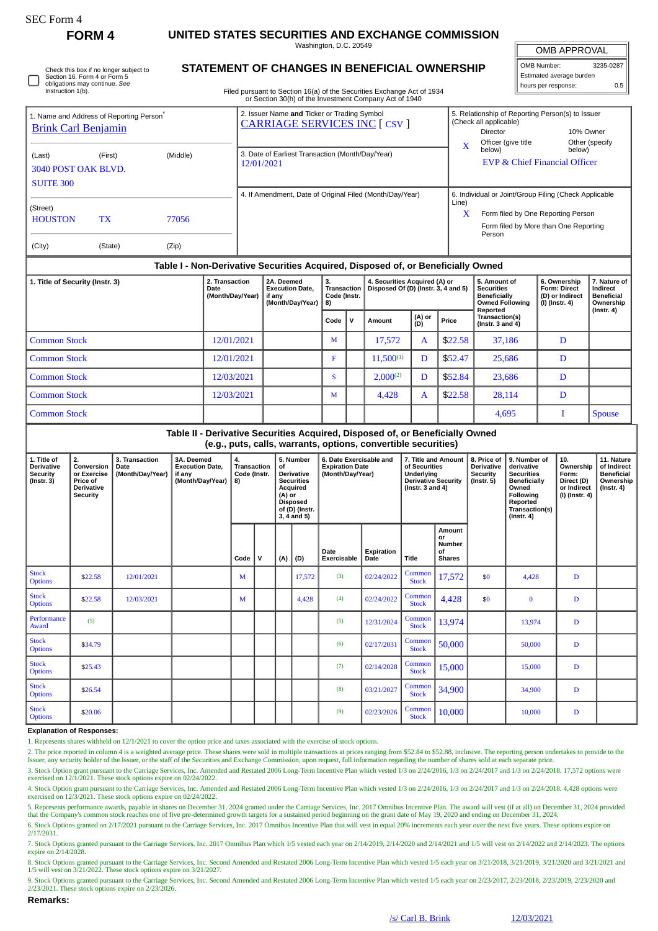## **FORM 4 UNITED STATES SECURITIES AND EXCHANGE COMMISSION**

Washington, D.C. 20549

OMB APPROVAL

| OMB Number:              | 3235-0287 |  |  |  |  |  |  |  |
|--------------------------|-----------|--|--|--|--|--|--|--|
| Estimated average burden |           |  |  |  |  |  |  |  |
| hours per response:      | 0.5       |  |  |  |  |  |  |  |

Check this box if no longer subject to Section 16. Form 4 or Form 5 obligations may continue. *See* Instruction 1(b).

## **STATEMENT OF CHANGES IN BENEFICIAL OWNERSHIP**

Filed pursuant to Section 16(a) of the Securities Exchange Act of 1934 or Section 30(h) of the Investment Company Act of 1940

| 1. Name and Address of Reporting Person <sup>®</sup><br><b>Brink Carl Benjamin</b> |                                                                                  |                                                   |                                                                    | 2. Issuer Name and Ticker or Trading Symbol<br><b>CARRIAGE SERVICES INC [ CSV ]</b> |              |                                                                      |                |              | 5. Relationship of Reporting Person(s) to Issuer<br>(Check all applicable)<br>Director<br>Officer (give title | 10% Owner                                                                                                                                      | Other (specify                                                                 |               |  |
|------------------------------------------------------------------------------------|----------------------------------------------------------------------------------|---------------------------------------------------|--------------------------------------------------------------------|-------------------------------------------------------------------------------------|--------------|----------------------------------------------------------------------|----------------|--------------|---------------------------------------------------------------------------------------------------------------|------------------------------------------------------------------------------------------------------------------------------------------------|--------------------------------------------------------------------------------|---------------|--|
| (First)<br>(Middle)<br>(Last)<br>3040 POST OAK BLVD.<br><b>SUITE 300</b>           |                                                                                  |                                                   |                                                                    | 3. Date of Earliest Transaction (Month/Day/Year)<br>12/01/2021                      |              |                                                                      |                | X            | below)<br>below)<br><b>EVP &amp; Chief Financial Officer</b>                                                  |                                                                                                                                                |                                                                                |               |  |
| (Street)<br><b>HOUSTON</b><br>(City)                                               | <b>TX</b><br>(State)                                                             | 77056<br>(Zip)                                    |                                                                    | 4. If Amendment, Date of Original Filed (Month/Day/Year)                            |              |                                                                      |                |              |                                                                                                               | 6. Individual or Joint/Group Filing (Check Applicable<br>Form filed by One Reporting Person<br>Form filed by More than One Reporting<br>Person |                                                                                |               |  |
|                                                                                    | Table I - Non-Derivative Securities Acquired, Disposed of, or Beneficially Owned |                                                   |                                                                    |                                                                                     |              |                                                                      |                |              |                                                                                                               |                                                                                                                                                |                                                                                |               |  |
| 1. Title of Security (Instr. 3)                                                    |                                                                                  | 2. Transaction<br><b>Date</b><br>(Month/Day/Year) | 2A. Deemed<br><b>Execution Date,</b><br>if any<br>(Month/Day/Year) | 3.<br>Transaction<br>Code (Instr.<br>8)                                             |              | 4. Securities Acquired (A) or<br>Disposed Of (D) (Instr. 3, 4 and 5) |                |              | 5. Amount of<br><b>Securities</b><br><b>Beneficially</b><br><b>Owned Following</b><br>Reported                | 6. Ownership<br>Form: Direct<br>(D) or Indirect<br>(I) (Instr. 4)                                                                              | 7. Nature of<br>Indirect<br><b>Beneficial</b><br>Ownership<br>$($ Instr. 4 $)$ |               |  |
|                                                                                    |                                                                                  |                                                   |                                                                    | Code                                                                                | $\mathsf{v}$ | Amount                                                               | (A) or<br>(D)  | Price        | Transaction(s)<br>( $lnstr. 3 and 4$ )                                                                        |                                                                                                                                                |                                                                                |               |  |
| <b>Common Stock</b>                                                                |                                                                                  |                                                   | 12/01/2021                                                         |                                                                                     | M            |                                                                      | 17,572         | $\mathbf{A}$ | \$22.58                                                                                                       | 37,186                                                                                                                                         | D                                                                              |               |  |
| <b>Common Stock</b><br>12/01/2021                                                  |                                                                                  |                                                   |                                                                    |                                                                                     | F            |                                                                      | $11,500^{(1)}$ | D            | \$52.47                                                                                                       | 25,686                                                                                                                                         | D                                                                              |               |  |
| <b>Common Stock</b><br>12/03/2021                                                  |                                                                                  |                                                   |                                                                    |                                                                                     | <sub>S</sub> |                                                                      | $2,000^{(2)}$  | D            | \$52.84                                                                                                       | 23,686                                                                                                                                         | D                                                                              |               |  |
| <b>Common Stock</b>                                                                |                                                                                  | 12/03/2021                                        |                                                                    | M                                                                                   |              | 4,428                                                                | $\mathbf{A}$   | \$22.58      | 28,114                                                                                                        | D                                                                                                                                              |                                                                                |               |  |
| <b>Common Stock</b>                                                                |                                                                                  |                                                   |                                                                    |                                                                                     |              |                                                                      |                |              |                                                                                                               | 4,695                                                                                                                                          | T                                                                              | <b>Spouse</b> |  |
|                                                                                    |                                                                                  |                                                   |                                                                    | Table II - Derivative Securities Acquired, Disposed of, or Beneficially Owned       |              |                                                                      |                |              |                                                                                                               |                                                                                                                                                |                                                                                |               |  |

## **(e.g., puts, calls, warrants, options, convertible securities)**

| 1. Title of<br><b>Derivative</b><br>Security<br>$($ Instr. 3 $)$ | 2.<br>Conversion<br>or Exercise<br>Price of<br><b>Derivative</b><br><b>Security</b> | 3. Transaction<br>Date<br>(Month/Day/Year) | 3A. Deemed<br><b>Execution Date.</b><br>if any<br>(Month/Day/Year) | 4.<br>Transaction<br>Code (Instr.<br>8) | 5. Number<br>of<br><b>Derivative</b><br><b>Securities</b><br>Acquired<br>(A) or<br><b>Disposed</b><br>of (D) (Instr.<br>3, 4 and 5) |     |        | 6. Date Exercisable and<br><b>Expiration Date</b><br>(Month/Day/Year) |                    | 7. Title and Amount<br>of Securities<br>Underlying<br><b>Derivative Security</b><br>( $Instr. 3 and 4$ ) |                                                      | 8. Price of<br><b>Derivative</b><br>Security<br>(Instr. 5) | 9. Number of<br>derivative<br><b>Securities</b><br><b>Beneficially</b><br>Owned<br>Following<br>Reported<br>Transaction(s)<br>$($ Instr. 4 $)$ | 10.<br>Ownership<br>Form:<br>Direct (D)<br>or Indirect<br>$(I)$ (Instr. 4) | 11. Nature<br>of Indirect<br><b>Beneficial</b><br>Ownership<br>$($ Instr. 4 $)$ |
|------------------------------------------------------------------|-------------------------------------------------------------------------------------|--------------------------------------------|--------------------------------------------------------------------|-----------------------------------------|-------------------------------------------------------------------------------------------------------------------------------------|-----|--------|-----------------------------------------------------------------------|--------------------|----------------------------------------------------------------------------------------------------------|------------------------------------------------------|------------------------------------------------------------|------------------------------------------------------------------------------------------------------------------------------------------------|----------------------------------------------------------------------------|---------------------------------------------------------------------------------|
|                                                                  |                                                                                     |                                            |                                                                    | Code                                    | v                                                                                                                                   | (A) | (D)    | Date<br>Exercisable                                                   | Expiration<br>Date | Title                                                                                                    | Amount<br>or<br><b>Number</b><br>of<br><b>Shares</b> |                                                            |                                                                                                                                                |                                                                            |                                                                                 |
| <b>Stock</b><br><b>Options</b>                                   | \$22.58                                                                             | 12/01/2021                                 |                                                                    | M                                       |                                                                                                                                     |     | 17,572 | (3)                                                                   | 02/24/2022         | Common<br><b>Stock</b>                                                                                   | 17,572                                               | \$0                                                        | 4,428                                                                                                                                          | D                                                                          |                                                                                 |
| <b>Stock</b><br><b>Options</b>                                   | \$22.58                                                                             | 12/03/2021                                 |                                                                    | M                                       |                                                                                                                                     |     | 4,428  | (4)                                                                   | 02/24/2022         | Common<br><b>Stock</b>                                                                                   | 4,428                                                | \$0                                                        | $\mathbf{0}$                                                                                                                                   | D                                                                          |                                                                                 |
| Performance<br>Award                                             | (5)                                                                                 |                                            |                                                                    |                                         |                                                                                                                                     |     |        | (5)                                                                   | 12/31/2024         | Common<br><b>Stock</b>                                                                                   | 13,974                                               |                                                            | 13,974                                                                                                                                         | D                                                                          |                                                                                 |
| <b>Stock</b><br><b>Options</b>                                   | \$34.79                                                                             |                                            |                                                                    |                                         |                                                                                                                                     |     |        | (6)                                                                   | 02/17/2031         | Common<br><b>Stock</b>                                                                                   | 50,000                                               |                                                            | 50,000                                                                                                                                         | D                                                                          |                                                                                 |
| <b>Stock</b><br><b>Options</b>                                   | \$25.43                                                                             |                                            |                                                                    |                                         |                                                                                                                                     |     |        | (7)                                                                   | 02/14/2028         | Common<br><b>Stock</b>                                                                                   | 15,000                                               |                                                            | 15,000                                                                                                                                         | D                                                                          |                                                                                 |
| <b>Stock</b><br><b>Options</b>                                   | \$26.54                                                                             |                                            |                                                                    |                                         |                                                                                                                                     |     |        | (8)                                                                   | 03/21/2027         | Common<br><b>Stock</b>                                                                                   | 34,900                                               |                                                            | 34,900                                                                                                                                         | D                                                                          |                                                                                 |
| <b>Stock</b><br><b>Options</b>                                   | \$20.06                                                                             |                                            |                                                                    |                                         |                                                                                                                                     |     |        | (9)                                                                   | 02/23/2026         | Common<br><b>Stock</b>                                                                                   | 10,000                                               |                                                            | 10.000                                                                                                                                         | D                                                                          |                                                                                 |

## **Explanation of Responses:**

1. Represents shares withheld on 12/1/2021 to cover the option price and taxes associated with the exercise of stock options.

2. The price reported in column 4 is a weighted average price. These shares were sold in multiple transactions at prices ranging from \$52.84 to \$52.88, inclusive. The reporting person undertakes to provide to the<br>Issuer, a 3. Stock Option grant pursuant to the Carriage Services, Inc. Amended and Restated 2006 Long-Term Incentive Plan which vested 1/3 on 2/24/2016, 1/3 on 2/24/2017 and 1/3 on 2/24/2018. 17,572 options were

exercised on 12/1/2021. These stock options expire on 02/24/2022.

4. Stock Option grant pursuant to the Carriage Services, Inc. Amended and Restated 2006 Long-Term Incentive Plan which vested 1/3 on 2/24/2016, 1/3 on 2/24/2017 and 1/3 on 2/24/2018. 4,428 options were exercised on 12/3/2021. These stock options expire on 02/24/2022.

5. Represents performance awards, payable in shares on December 31, 2024 granted under the Carriage Services, Inc. 2017 Omnibus Incentive Plan. The award will vest (if at all) on December 31, 2024 provided that the Company's common stock reaches one of five pre-determined growth targets for a sustained period beginning on the grant date of May 19, 2020 and ending on December 31, 2024. 6. Stock Options granted on 2/17/2021 pursuant to the Carriage Services, Inc. 2017 Omnibus Incentive Plan that will vest in equal 20% increments each year over the next five years. These options expire on

2/17/2031.

7. Stock Options granted pursuant to the Carriage Services, Inc. 2017 Omnibus Plan which 1/5 vested each year on 2/14/2019, 2/14/2020 and 2/14/2021 and 1/5 will vest on 2/14/2022 and 2/14/2023. The options expire on 2/14/2028.

8. Stock Options granted pursuant to the Carriage Services, Inc. Second Amended and Restated 2006 Long-Term Incentive Plan which vested 1/5 each year on 3/21/2018, 3/21/2019, 3/21/2020 and 3/21/2021 and<br>1/5 will vest on 3/

9. Stock Options granted pursuant to the Carriage Services, Inc. Second Amended and Restated 2006 Long-Term Incentive Plan which vested 1/5 each year on 2/23/2017, 2/23/2018, 2/23/2019, 2/23/2020 and 2/23/2021. These stock options expire on 2/23/2026.

**Remarks:**